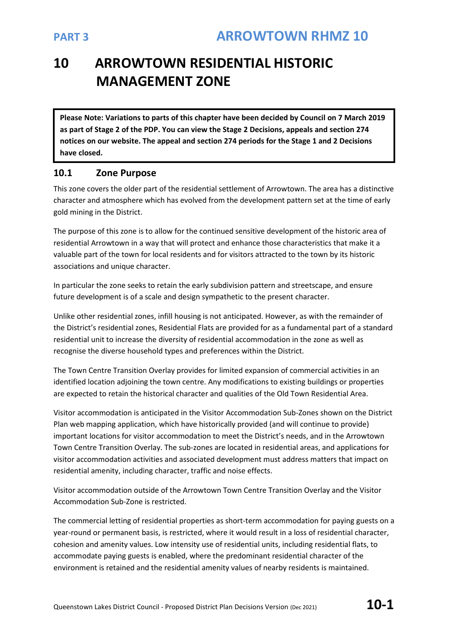# **10 ARROWTOWN RESIDENTIAL HISTORIC MANAGEMENT ZONE**

**Please Note: Variations to parts of this chapter have been decided by Council on 7 March 2019 as part of Stage 2 of the PDP. You can view the Stage 2 Decisions, appeals and section 274 notices on our website. The appeal and section 274 periods for the Stage 1 and 2 Decisions have closed.**

## **10.1 Zone Purpose**

This zone covers the older part of the residential settlement of Arrowtown. The area has a distinctive character and atmosphere which has evolved from the development pattern set at the time of early gold mining in the District.

The purpose of this zone is to allow for the continued sensitive development of the historic area of residential Arrowtown in a way that will protect and enhance those characteristics that make it a valuable part of the town for local residents and for visitors attracted to the town by its historic associations and unique character.

In particular the zone seeks to retain the early subdivision pattern and streetscape, and ensure future development is of a scale and design sympathetic to the present character.

Unlike other residential zones, infill housing is not anticipated. However, as with the remainder of the District's residential zones, Residential Flats are provided for as a fundamental part of a standard residential unit to increase the diversity of residential accommodation in the zone as well as recognise the diverse household types and preferences within the District.

The Town Centre Transition Overlay provides for limited expansion of commercial activities in an identified location adjoining the town centre. Any modifications to existing buildings or properties are expected to retain the historical character and qualities of the Old Town Residential Area.

Visitor accommodation is anticipated in the Visitor Accommodation Sub-Zones shown on the District Plan web mapping application, which have historically provided (and will continue to provide) important locations for visitor accommodation to meet the District's needs, and in the Arrowtown Town Centre Transition Overlay. The sub-zones are located in residential areas, and applications for visitor accommodation activities and associated development must address matters that impact on residential amenity, including character, traffic and noise effects.

Visitor accommodation outside of the Arrowtown Town Centre Transition Overlay and the Visitor Accommodation Sub-Zone is restricted.

The commercial letting of residential properties as short-term accommodation for paying guests on a year-round or permanent basis, is restricted, where it would result in a loss of residential character, cohesion and amenity values. Low intensity use of residential units, including residential flats, to accommodate paying guests is enabled, where the predominant residential character of the environment is retained and the residential amenity values of nearby residents is maintained.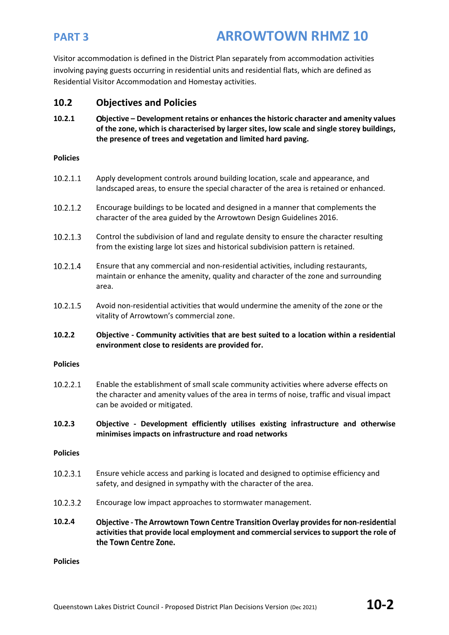Visitor accommodation is defined in the District Plan separately from accommodation activities involving paying guests occurring in residential units and residential flats, which are defined as Residential Visitor Accommodation and Homestay activities.

## **10.2 Objectives and Policies**

**10.2.1 bjective – Development retains or enhances the historic character and amenity values of the zone, which is characterised by larger sites, low scale and single storey buildings, the presence of trees and vegetation and limited hard paving.** 

### **Policies**

- $10.2.1.1$ Apply development controls around building location, scale and appearance, and landscaped areas, to ensure the special character of the area is retained or enhanced.
- 10.2.1.2 Encourage buildings to be located and designed in a manner that complements the character of the area guided by the Arrowtown Design Guidelines 2016.
- $10.2.1.3$ Control the subdivision of land and regulate density to ensure the character resulting from the existing large lot sizes and historical subdivision pattern is retained.
- 10.2.1.4 Ensure that any commercial and non-residential activities, including restaurants, maintain or enhance the amenity, quality and character of the zone and surrounding area.
- 10.2.1.5 Avoid non-residential activities that would undermine the amenity of the zone or the vitality of Arrowtown's commercial zone.
- **10.2.2 Objective - Community activities that are best suited to a location within a residential environment close to residents are provided for.**

### **Policies**

- 10.2.2.1 Enable the establishment of small scale community activities where adverse effects on the character and amenity values of the area in terms of noise, traffic and visual impact can be avoided or mitigated.
- **10.2.3 Objective - Development efficiently utilises existing infrastructure and otherwise minimises impacts on infrastructure and road networks**

### **Policies**

- 10.2.3.1 Ensure vehicle access and parking is located and designed to optimise efficiency and safety, and designed in sympathy with the character of the area.
- 10.2.3.2 Encourage low impact approaches to stormwater management.
- **10.2.4** Objective - The Arrowtown Town Centre Transition Overlay provides for non-residential activities that provide local employment and commercial services to support the role of the Town Centre Zone.

### **Policies**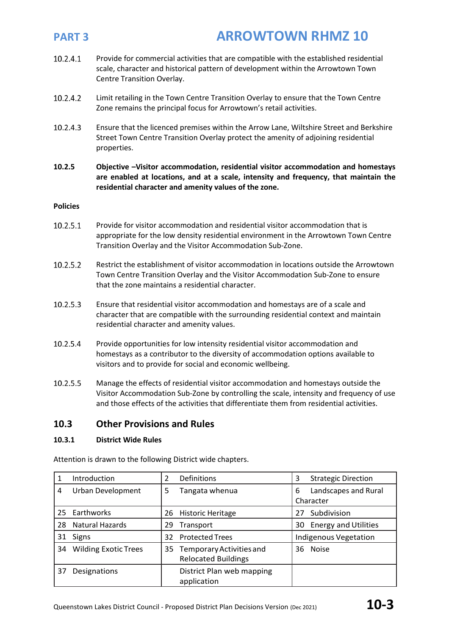- 10.2.4.1 Provide for commercial activities that are compatible with the established residential scale, character and historical pattern of development within the Arrowtown Town Centre Transition Overlay.
- 10.2.4.2 Limit retailing in the Town Centre Transition Overlay to ensure that the Town Centre Zone remains the principal focus for Arrowtown's retail activities.
- 10.2.4.3 Ensure that the licenced premises within the Arrow Lane, Wiltshire Street and Berkshire Street Town Centre Transition Overlay protect the amenity of adjoining residential properties.
- **10.2.5 Objective –Visitor accommodation, residential visitor accommodation and homestays are enabled at locations, and at a scale, intensity and frequency, that maintain the residential character and amenity values of the zone.**

## **Policies**

- 10.2.5.1 Provide for visitor accommodation and residential visitor accommodation that is appropriate for the low density residential environment in the Arrowtown Town Centre Transition Overlay and the Visitor Accommodation Sub-Zone.
- 10.2.5.2 Restrict the establishment of visitor accommodation in locations outside the Arrowtown Town Centre Transition Overlay and the Visitor Accommodation Sub-Zone to ensure that the zone maintains a residential character.
- 10.2.5.3 Ensure that residential visitor accommodation and homestays are of a scale and character that are compatible with the surrounding residential context and maintain residential character and amenity values.
- 10.2.5.4 Provide opportunities for low intensity residential visitor accommodation and homestays as a contributor to the diversity of accommodation options available to visitors and to provide for social and economic wellbeing.
- 10.2.5.5 Manage the effects of residential visitor accommodation and homestays outside the Visitor Accommodation Sub-Zone by controlling the scale, intensity and frequency of use and those effects of the activities that differentiate them from residential activities.

## **10.3 Other Provisions and Rules**

### **10.3.1 District Wide Rules**

Attention is drawn to the following District wide chapters.

|    | Introduction                | 2  | Definitions                                            | 3  | <b>Strategic Direction</b>        |
|----|-----------------------------|----|--------------------------------------------------------|----|-----------------------------------|
| 4  | Urban Development           | 5  | Tangata whenua                                         | 6  | Landscapes and Rural<br>Character |
| 25 | Earthworks                  | 26 | <b>Historic Heritage</b>                               | 27 | Subdivision                       |
| 28 | <b>Natural Hazards</b>      | 29 | Transport                                              | 30 | <b>Energy and Utilities</b>       |
| 31 | <b>Signs</b>                | 32 | <b>Protected Trees</b>                                 |    | <b>Indigenous Vegetation</b>      |
| 34 | <b>Wilding Exotic Trees</b> | 35 | Temporary Activities and<br><b>Relocated Buildings</b> |    | 36 Noise                          |
| 37 | Designations                |    | District Plan web mapping<br>application               |    |                                   |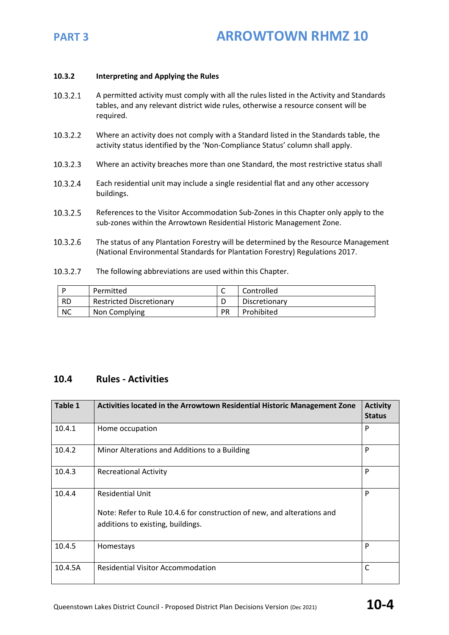

### **10.3.2 Interpreting and Applying the Rules**

- 10.3.2.1 A permitted activity must comply with all the rules listed in the Activity and Standards tables, and any relevant district wide rules, otherwise a resource consent will be required.
- 10.3.2.2 Where an activity does not comply with a Standard listed in the Standards table, the activity status identified by the 'Non-Compliance Status' column shall apply.
- 10.3.2.3 Where an activity breaches more than one Standard, the most restrictive status shall
- 10.3.2.4 Each residential unit may include a single residential flat and any other accessory buildings.
- 10.3.2.5 References to the Visitor Accommodation Sub-Zones in this Chapter only apply to the sub-zones within the Arrowtown Residential Historic Management Zone.
- 10.3.2.6 The status of any Plantation Forestry will be determined by the Resource Management (National Environmental Standards for Plantation Forestry) Regulations 2017.
- 10.3.2.7 The following abbreviations are used within this Chapter.

|           | Permitted                       | Controlled    |
|-----------|---------------------------------|---------------|
| <b>RD</b> | <b>Restricted Discretionary</b> | Discretionary |
| <b>NC</b> | Non Complying                   | Prohibited    |

## **10.4 Rules - Activities**

| Table 1 | Activities located in the Arrowtown Residential Historic Management Zone                                                                | <b>Activity</b><br><b>Status</b> |
|---------|-----------------------------------------------------------------------------------------------------------------------------------------|----------------------------------|
| 10.4.1  | Home occupation                                                                                                                         | P                                |
| 10.4.2  | Minor Alterations and Additions to a Building                                                                                           | P                                |
| 10.4.3  | <b>Recreational Activity</b>                                                                                                            | P                                |
| 10.4.4  | <b>Residential Unit</b><br>Note: Refer to Rule 10.4.6 for construction of new, and alterations and<br>additions to existing, buildings. | P                                |
| 10.4.5  | Homestays                                                                                                                               | P                                |
| 10.4.5A | <b>Residential Visitor Accommodation</b>                                                                                                | C                                |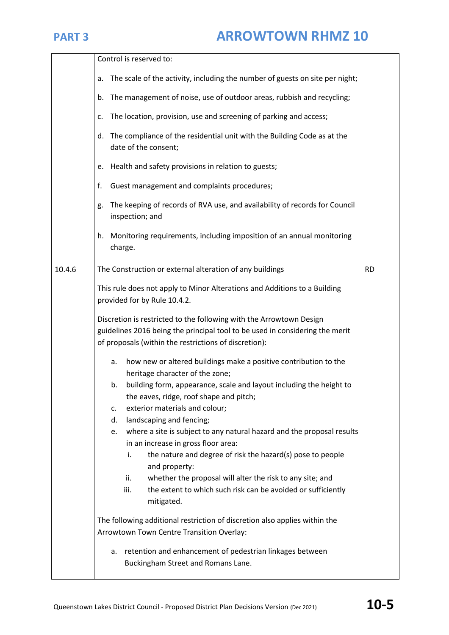|        | Control is reserved to:                                                                                                                                                                                                                                                                                                                                                                                                                                                                                                                                                                                                                                                           |           |
|--------|-----------------------------------------------------------------------------------------------------------------------------------------------------------------------------------------------------------------------------------------------------------------------------------------------------------------------------------------------------------------------------------------------------------------------------------------------------------------------------------------------------------------------------------------------------------------------------------------------------------------------------------------------------------------------------------|-----------|
|        | The scale of the activity, including the number of guests on site per night;<br>a.                                                                                                                                                                                                                                                                                                                                                                                                                                                                                                                                                                                                |           |
|        | The management of noise, use of outdoor areas, rubbish and recycling;<br>b.                                                                                                                                                                                                                                                                                                                                                                                                                                                                                                                                                                                                       |           |
|        | The location, provision, use and screening of parking and access;<br>c.                                                                                                                                                                                                                                                                                                                                                                                                                                                                                                                                                                                                           |           |
|        | The compliance of the residential unit with the Building Code as at the<br>d.<br>date of the consent;                                                                                                                                                                                                                                                                                                                                                                                                                                                                                                                                                                             |           |
|        | Health and safety provisions in relation to guests;<br>e.                                                                                                                                                                                                                                                                                                                                                                                                                                                                                                                                                                                                                         |           |
|        | f.<br>Guest management and complaints procedures;                                                                                                                                                                                                                                                                                                                                                                                                                                                                                                                                                                                                                                 |           |
|        | The keeping of records of RVA use, and availability of records for Council<br>g.<br>inspection; and                                                                                                                                                                                                                                                                                                                                                                                                                                                                                                                                                                               |           |
|        | Monitoring requirements, including imposition of an annual monitoring<br>h.<br>charge.                                                                                                                                                                                                                                                                                                                                                                                                                                                                                                                                                                                            |           |
| 10.4.6 | The Construction or external alteration of any buildings                                                                                                                                                                                                                                                                                                                                                                                                                                                                                                                                                                                                                          | <b>RD</b> |
|        | This rule does not apply to Minor Alterations and Additions to a Building<br>provided for by Rule 10.4.2.                                                                                                                                                                                                                                                                                                                                                                                                                                                                                                                                                                         |           |
|        | Discretion is restricted to the following with the Arrowtown Design<br>guidelines 2016 being the principal tool to be used in considering the merit<br>of proposals (within the restrictions of discretion):                                                                                                                                                                                                                                                                                                                                                                                                                                                                      |           |
|        | how new or altered buildings make a positive contribution to the<br>a.<br>heritage character of the zone;<br>building form, appearance, scale and layout including the height to<br>b.<br>the eaves, ridge, roof shape and pitch;<br>exterior materials and colour;<br>c.<br>landscaping and fencing;<br>d.<br>where a site is subject to any natural hazard and the proposal results<br>e.<br>in an increase in gross floor area:<br>the nature and degree of risk the hazard(s) pose to people<br>i.<br>and property:<br>whether the proposal will alter the risk to any site; and<br>ii.<br>iii.<br>the extent to which such risk can be avoided or sufficiently<br>mitigated. |           |
|        | The following additional restriction of discretion also applies within the<br>Arrowtown Town Centre Transition Overlay:                                                                                                                                                                                                                                                                                                                                                                                                                                                                                                                                                           |           |
|        | retention and enhancement of pedestrian linkages between<br>а.<br>Buckingham Street and Romans Lane.                                                                                                                                                                                                                                                                                                                                                                                                                                                                                                                                                                              |           |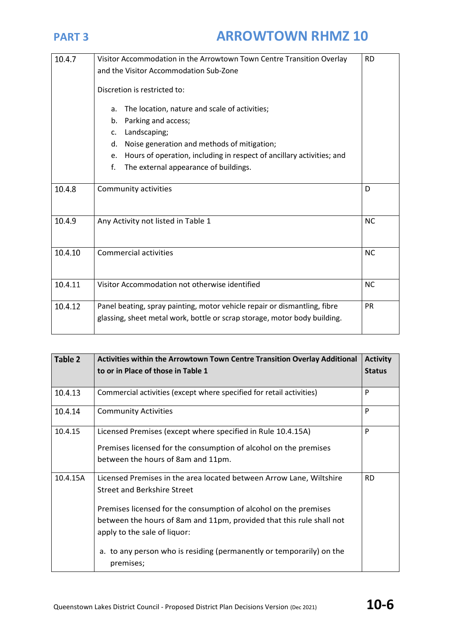| 10.4.7  | Visitor Accommodation in the Arrowtown Town Centre Transition Overlay<br><b>RD</b> |   |  |
|---------|------------------------------------------------------------------------------------|---|--|
|         | and the Visitor Accommodation Sub-Zone                                             |   |  |
|         | Discretion is restricted to:                                                       |   |  |
|         | The location, nature and scale of activities;<br>a.                                |   |  |
|         | Parking and access;<br>b.                                                          |   |  |
|         | Landscaping;<br>C.                                                                 |   |  |
|         | Noise generation and methods of mitigation;<br>d.                                  |   |  |
|         | Hours of operation, including in respect of ancillary activities; and<br>e.        |   |  |
|         | f.<br>The external appearance of buildings.                                        |   |  |
|         |                                                                                    |   |  |
| 10.4.8  | Community activities                                                               | D |  |
|         |                                                                                    |   |  |
| 10.4.9  | Any Activity not listed in Table 1                                                 |   |  |
|         |                                                                                    |   |  |
| 10.4.10 | <b>Commercial activities</b><br><b>NC</b>                                          |   |  |
|         |                                                                                    |   |  |
|         |                                                                                    |   |  |
| 10.4.11 | Visitor Accommodation not otherwise identified<br><b>NC</b>                        |   |  |
| 10.4.12 | Panel beating, spray painting, motor vehicle repair or dismantling, fibre<br>PR    |   |  |
|         | glassing, sheet metal work, bottle or scrap storage, motor body building.          |   |  |
|         |                                                                                    |   |  |

| Table 2  | Activities within the Arrowtown Town Centre Transition Overlay Additional<br>to or in Place of those in Table 1                                                                                                                                                                                                                                                               | <b>Activity</b><br><b>Status</b> |
|----------|-------------------------------------------------------------------------------------------------------------------------------------------------------------------------------------------------------------------------------------------------------------------------------------------------------------------------------------------------------------------------------|----------------------------------|
| 10.4.13  | Commercial activities (except where specified for retail activities)                                                                                                                                                                                                                                                                                                          | P                                |
| 10.4.14  | <b>Community Activities</b>                                                                                                                                                                                                                                                                                                                                                   | P                                |
| 10.4.15  | Licensed Premises (except where specified in Rule 10.4.15A)<br>Premises licensed for the consumption of alcohol on the premises<br>between the hours of 8am and 11pm.                                                                                                                                                                                                         | P                                |
| 10.4.15A | Licensed Premises in the area located between Arrow Lane, Wiltshire<br><b>Street and Berkshire Street</b><br>Premises licensed for the consumption of alcohol on the premises<br>between the hours of 8am and 11pm, provided that this rule shall not<br>apply to the sale of liquor:<br>to any person who is residing (permanently or temporarily) on the<br>а.<br>premises; | <b>RD</b>                        |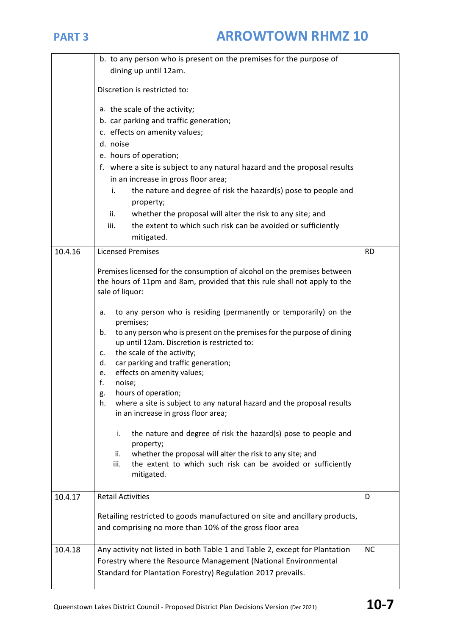|         | b. to any person who is present on the premises for the purpose of                                                          |           |
|---------|-----------------------------------------------------------------------------------------------------------------------------|-----------|
|         | dining up until 12am.                                                                                                       |           |
|         | Discretion is restricted to:                                                                                                |           |
|         | a. the scale of the activity;                                                                                               |           |
|         | b. car parking and traffic generation;                                                                                      |           |
|         | c. effects on amenity values;                                                                                               |           |
|         | d. noise                                                                                                                    |           |
|         | e. hours of operation;                                                                                                      |           |
|         | f. where a site is subject to any natural hazard and the proposal results                                                   |           |
|         | in an increase in gross floor area;                                                                                         |           |
|         | the nature and degree of risk the hazard(s) pose to people and<br>i.                                                        |           |
|         | property;                                                                                                                   |           |
|         | ii.<br>whether the proposal will alter the risk to any site; and                                                            |           |
|         | the extent to which such risk can be avoided or sufficiently<br>iii.<br>mitigated.                                          |           |
| 10.4.16 | <b>Licensed Premises</b>                                                                                                    | <b>RD</b> |
|         |                                                                                                                             |           |
|         | Premises licensed for the consumption of alcohol on the premises between                                                    |           |
|         | the hours of 11pm and 8am, provided that this rule shall not apply to the                                                   |           |
|         | sale of liquor:                                                                                                             |           |
|         | to any person who is residing (permanently or temporarily) on the<br>a.                                                     |           |
|         | premises;                                                                                                                   |           |
|         | to any person who is present on the premises for the purpose of dining<br>b.<br>up until 12am. Discretion is restricted to: |           |
|         | the scale of the activity;<br>c.                                                                                            |           |
|         | car parking and traffic generation;<br>d.                                                                                   |           |
|         | effects on amenity values;<br>e.                                                                                            |           |
|         | f.<br>noise;                                                                                                                |           |
|         | hours of operation;<br>g.<br>where a site is subject to any natural hazard and the proposal results<br>h.                   |           |
|         | in an increase in gross floor area;                                                                                         |           |
|         |                                                                                                                             |           |
|         | the nature and degree of risk the hazard(s) pose to people and<br>i.                                                        |           |
|         | property;<br>whether the proposal will alter the risk to any site; and<br>ii.                                               |           |
|         | the extent to which such risk can be avoided or sufficiently<br>iii.                                                        |           |
|         | mitigated.                                                                                                                  |           |
|         |                                                                                                                             |           |
| 10.4.17 | <b>Retail Activities</b>                                                                                                    | D         |
|         | Retailing restricted to goods manufactured on site and ancillary products,                                                  |           |
|         | and comprising no more than 10% of the gross floor area                                                                     |           |
|         |                                                                                                                             |           |
| 10.4.18 | Any activity not listed in both Table 1 and Table 2, except for Plantation                                                  | <b>NC</b> |
|         | Forestry where the Resource Management (National Environmental                                                              |           |
|         | Standard for Plantation Forestry) Regulation 2017 prevails.                                                                 |           |
|         |                                                                                                                             |           |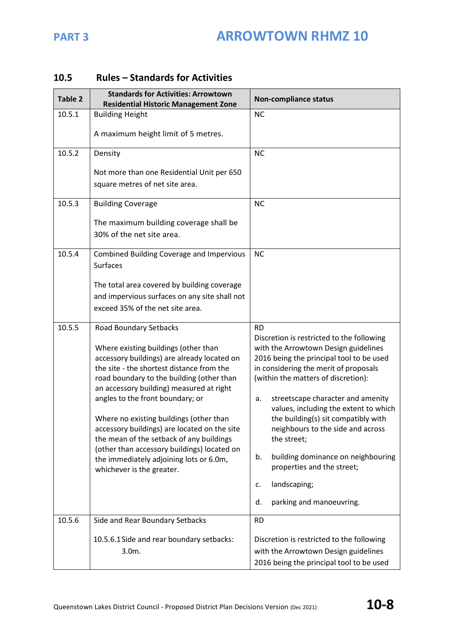| Table 2 | <b>Standards for Activities: Arrowtown</b><br><b>Residential Historic Management Zone</b>                                                                                                                                                                                                                                                                                                                                                                                                                                                             | <b>Non-compliance status</b>                                                                                                                                                                                                                                                                                                                                                                                                                                                                                                                |
|---------|-------------------------------------------------------------------------------------------------------------------------------------------------------------------------------------------------------------------------------------------------------------------------------------------------------------------------------------------------------------------------------------------------------------------------------------------------------------------------------------------------------------------------------------------------------|---------------------------------------------------------------------------------------------------------------------------------------------------------------------------------------------------------------------------------------------------------------------------------------------------------------------------------------------------------------------------------------------------------------------------------------------------------------------------------------------------------------------------------------------|
| 10.5.1  | <b>Building Height</b>                                                                                                                                                                                                                                                                                                                                                                                                                                                                                                                                | <b>NC</b>                                                                                                                                                                                                                                                                                                                                                                                                                                                                                                                                   |
|         | A maximum height limit of 5 metres.                                                                                                                                                                                                                                                                                                                                                                                                                                                                                                                   |                                                                                                                                                                                                                                                                                                                                                                                                                                                                                                                                             |
| 10.5.2  | Density                                                                                                                                                                                                                                                                                                                                                                                                                                                                                                                                               | <b>NC</b>                                                                                                                                                                                                                                                                                                                                                                                                                                                                                                                                   |
|         | Not more than one Residential Unit per 650<br>square metres of net site area.                                                                                                                                                                                                                                                                                                                                                                                                                                                                         |                                                                                                                                                                                                                                                                                                                                                                                                                                                                                                                                             |
| 10.5.3  | <b>Building Coverage</b>                                                                                                                                                                                                                                                                                                                                                                                                                                                                                                                              | <b>NC</b>                                                                                                                                                                                                                                                                                                                                                                                                                                                                                                                                   |
|         | The maximum building coverage shall be<br>30% of the net site area.                                                                                                                                                                                                                                                                                                                                                                                                                                                                                   |                                                                                                                                                                                                                                                                                                                                                                                                                                                                                                                                             |
| 10.5.4  | <b>Combined Building Coverage and Impervious</b><br><b>Surfaces</b>                                                                                                                                                                                                                                                                                                                                                                                                                                                                                   | <b>NC</b>                                                                                                                                                                                                                                                                                                                                                                                                                                                                                                                                   |
|         | The total area covered by building coverage<br>and impervious surfaces on any site shall not                                                                                                                                                                                                                                                                                                                                                                                                                                                          |                                                                                                                                                                                                                                                                                                                                                                                                                                                                                                                                             |
|         | exceed 35% of the net site area.                                                                                                                                                                                                                                                                                                                                                                                                                                                                                                                      |                                                                                                                                                                                                                                                                                                                                                                                                                                                                                                                                             |
| 10.5.5  | Road Boundary Setbacks<br>Where existing buildings (other than<br>accessory buildings) are already located on<br>the site - the shortest distance from the<br>road boundary to the building (other than<br>an accessory building) measured at right<br>angles to the front boundary; or<br>Where no existing buildings (other than<br>accessory buildings) are located on the site<br>the mean of the setback of any buildings<br>(other than accessory buildings) located on<br>the immediately adjoining lots or 6.0m,<br>whichever is the greater. | <b>RD</b><br>Discretion is restricted to the following<br>with the Arrowtown Design guidelines<br>2016 being the principal tool to be used<br>in considering the merit of proposals<br>(within the matters of discretion):<br>streetscape character and amenity<br>a.<br>values, including the extent to which<br>the building(s) sit compatibly with<br>neighbours to the side and across<br>the street;<br>b.<br>building dominance on neighbouring<br>properties and the street;<br>landscaping;<br>c.<br>parking and manoeuvring.<br>d. |
| 10.5.6  | Side and Rear Boundary Setbacks                                                                                                                                                                                                                                                                                                                                                                                                                                                                                                                       | <b>RD</b>                                                                                                                                                                                                                                                                                                                                                                                                                                                                                                                                   |
|         | 10.5.6.1 Side and rear boundary setbacks:<br>3.0m.                                                                                                                                                                                                                                                                                                                                                                                                                                                                                                    | Discretion is restricted to the following<br>with the Arrowtown Design guidelines<br>2016 being the principal tool to be used                                                                                                                                                                                                                                                                                                                                                                                                               |

# **10.5 Rules – Standards for Activities**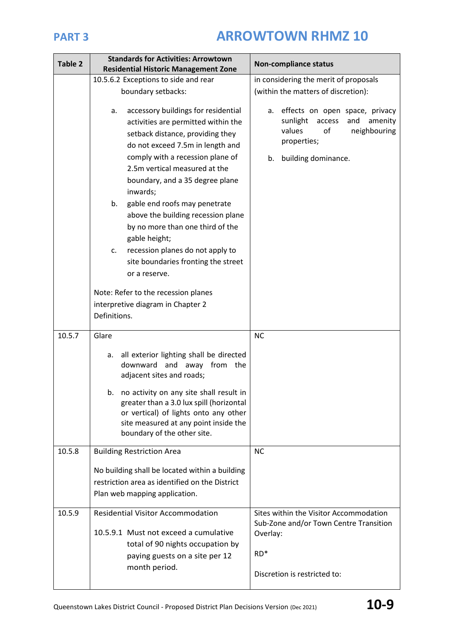| Table 2 | <b>Standards for Activities: Arrowtown</b><br><b>Residential Historic Management Zone</b>                                                                                                                                                                                                                                                                                                                                                                                                                        | <b>Non-compliance status</b>                                                                                                                             |  |  |
|---------|------------------------------------------------------------------------------------------------------------------------------------------------------------------------------------------------------------------------------------------------------------------------------------------------------------------------------------------------------------------------------------------------------------------------------------------------------------------------------------------------------------------|----------------------------------------------------------------------------------------------------------------------------------------------------------|--|--|
|         | 10.5.6.2 Exceptions to side and rear                                                                                                                                                                                                                                                                                                                                                                                                                                                                             | in considering the merit of proposals                                                                                                                    |  |  |
|         | boundary setbacks:                                                                                                                                                                                                                                                                                                                                                                                                                                                                                               | (within the matters of discretion):                                                                                                                      |  |  |
|         | accessory buildings for residential<br>а.<br>activities are permitted within the<br>setback distance, providing they<br>do not exceed 7.5m in length and<br>comply with a recession plane of<br>2.5m vertical measured at the<br>boundary, and a 35 degree plane<br>inwards;<br>gable end roofs may penetrate<br>b.<br>above the building recession plane<br>by no more than one third of the<br>gable height;<br>recession planes do not apply to<br>c.<br>site boundaries fronting the street<br>or a reserve. | effects on open space, privacy<br>a.<br>sunlight<br>access<br>and<br>amenity<br>values<br>neighbouring<br>of<br>properties;<br>building dominance.<br>b. |  |  |
|         |                                                                                                                                                                                                                                                                                                                                                                                                                                                                                                                  |                                                                                                                                                          |  |  |
|         | Note: Refer to the recession planes                                                                                                                                                                                                                                                                                                                                                                                                                                                                              |                                                                                                                                                          |  |  |
|         | interpretive diagram in Chapter 2                                                                                                                                                                                                                                                                                                                                                                                                                                                                                |                                                                                                                                                          |  |  |
|         | Definitions.                                                                                                                                                                                                                                                                                                                                                                                                                                                                                                     |                                                                                                                                                          |  |  |
| 10.5.7  | Glare                                                                                                                                                                                                                                                                                                                                                                                                                                                                                                            | <b>NC</b>                                                                                                                                                |  |  |
|         | all exterior lighting shall be directed<br>a.<br>downward and away from the<br>adjacent sites and roads;                                                                                                                                                                                                                                                                                                                                                                                                         |                                                                                                                                                          |  |  |
|         | no activity on any site shall result in<br>b.<br>greater than a 3.0 lux spill (horizontal<br>or vertical) of lights onto any other<br>site measured at any point inside the<br>boundary of the other site.                                                                                                                                                                                                                                                                                                       |                                                                                                                                                          |  |  |
| 10.5.8  | <b>Building Restriction Area</b>                                                                                                                                                                                                                                                                                                                                                                                                                                                                                 | <b>NC</b>                                                                                                                                                |  |  |
|         | No building shall be located within a building<br>restriction area as identified on the District<br>Plan web mapping application.                                                                                                                                                                                                                                                                                                                                                                                |                                                                                                                                                          |  |  |
| 10.5.9  | <b>Residential Visitor Accommodation</b>                                                                                                                                                                                                                                                                                                                                                                                                                                                                         | Sites within the Visitor Accommodation                                                                                                                   |  |  |
|         | 10.5.9.1 Must not exceed a cumulative<br>total of 90 nights occupation by<br>paying guests on a site per 12<br>month period.                                                                                                                                                                                                                                                                                                                                                                                     | Sub-Zone and/or Town Centre Transition<br>Overlay:<br>RD <sup>*</sup><br>Discretion is restricted to:                                                    |  |  |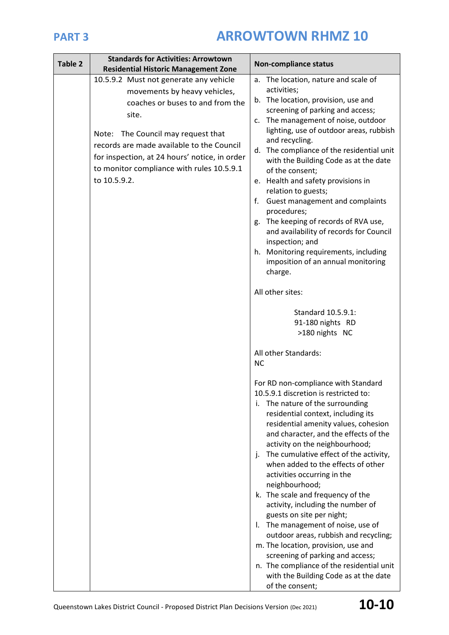| Table 2 | <b>Standards for Activities: Arrowtown</b><br><b>Residential Historic Management Zone</b>                                                                                                                                                                                                                            | <b>Non-compliance status</b>                                                                                                                                                                                                                                                                                                                                                                                                                                                                                                                                                                                                                                                                                                                                                                                                                                                                                                                                                                                                                                                                                                                                                                                                                                                                                                                                                                                                                     |
|---------|----------------------------------------------------------------------------------------------------------------------------------------------------------------------------------------------------------------------------------------------------------------------------------------------------------------------|--------------------------------------------------------------------------------------------------------------------------------------------------------------------------------------------------------------------------------------------------------------------------------------------------------------------------------------------------------------------------------------------------------------------------------------------------------------------------------------------------------------------------------------------------------------------------------------------------------------------------------------------------------------------------------------------------------------------------------------------------------------------------------------------------------------------------------------------------------------------------------------------------------------------------------------------------------------------------------------------------------------------------------------------------------------------------------------------------------------------------------------------------------------------------------------------------------------------------------------------------------------------------------------------------------------------------------------------------------------------------------------------------------------------------------------------------|
|         | 10.5.9.2 Must not generate any vehicle<br>movements by heavy vehicles,<br>coaches or buses to and from the<br>site.<br>Note: The Council may request that<br>records are made available to the Council<br>for inspection, at 24 hours' notice, in order<br>to monitor compliance with rules 10.5.9.1<br>to 10.5.9.2. | a. The location, nature and scale of<br>activities;<br>b. The location, provision, use and<br>screening of parking and access;<br>The management of noise, outdoor<br>c.<br>lighting, use of outdoor areas, rubbish<br>and recycling.<br>d. The compliance of the residential unit<br>with the Building Code as at the date<br>of the consent;<br>e. Health and safety provisions in<br>relation to guests;<br>Guest management and complaints<br>t.<br>procedures;<br>The keeping of records of RVA use,<br>g.<br>and availability of records for Council<br>inspection; and<br>h. Monitoring requirements, including<br>imposition of an annual monitoring<br>charge.<br>All other sites:<br>Standard 10.5.9.1:<br>91-180 nights RD<br>>180 nights NC<br>All other Standards:<br><b>NC</b><br>For RD non-compliance with Standard<br>10.5.9.1 discretion is restricted to:<br>i. The nature of the surrounding<br>residential context, including its<br>residential amenity values, cohesion<br>and character, and the effects of the<br>activity on the neighbourhood;<br>The cumulative effect of the activity,<br>j.<br>when added to the effects of other<br>activities occurring in the<br>neighbourhood;<br>k. The scale and frequency of the<br>activity, including the number of<br>guests on site per night;<br>The management of noise, use of<br>Ι.<br>outdoor areas, rubbish and recycling;<br>m. The location, provision, use and |
|         |                                                                                                                                                                                                                                                                                                                      | screening of parking and access;<br>n. The compliance of the residential unit<br>with the Building Code as at the date<br>of the consent;                                                                                                                                                                                                                                                                                                                                                                                                                                                                                                                                                                                                                                                                                                                                                                                                                                                                                                                                                                                                                                                                                                                                                                                                                                                                                                        |